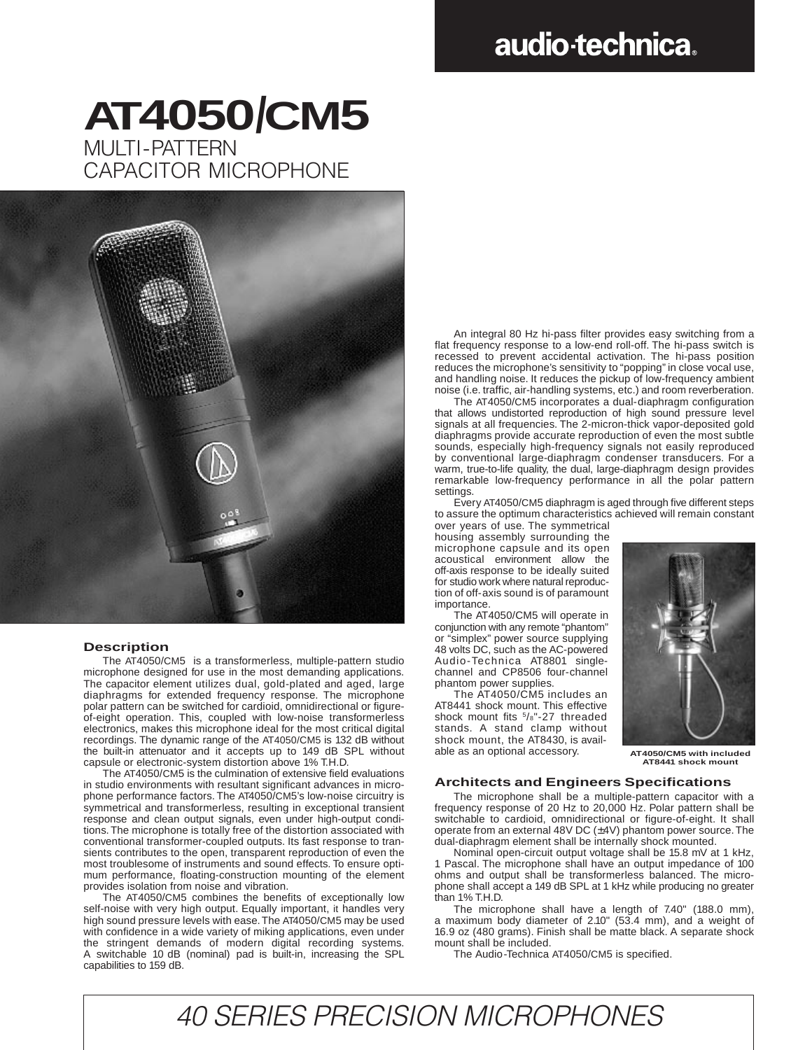## audio-technica.

## MULTI-PATTFRN CAPACITOR MICROPHONE **AT4050/CM5**



#### **Description**

The AT4050/CM5 is a transformerless, multiple-pattern studio microphone designed for use in the most demanding applications. The capacitor element utilizes dual, gold-plated and aged, large diaphragms for extended frequency response. The microphone polar pattern can be switched for cardioid, omnidirectional or figureof-eight operation. This, coupled with low-noise transformerless electronics, makes this microphone ideal for the most critical digital recordings. The dynamic range of the AT4050/CM5 is 132 dB without the built-in attenuator and it accepts up to 149 dB SPL without capsule or electronic-system distortion above 1% T.H.D.

The AT4050/CM5 is the culmination of extensive field evaluations in studio environments with resultant significant advances in microphone performance factors. The AT4050/CM5's low-noise circuitry is symmetrical and transformerless, resulting in exceptional transient response and clean output signals, even under high-output conditions. The microphone is totally free of the distortion associated with conventional transformer-coupled outputs. Its fast response to transients contributes to the open, transparent reproduction of even the most troublesome of instruments and sound effects. To ensure optimum performance, floating-construction mounting of the element provides isolation from noise and vibration.

The AT4050/CM5 combines the benefits of exceptionally low self-noise with very high output. Equally important, it handles very high sound pressure levels with ease. The AT4050/CM5 may be used with confidence in a wide variety of miking applications, even under the stringent demands of modern digital recording systems. A switchable 10 dB (nominal) pad is built-in, increasing the SPL capabilities to 159 dB.

An integral 80 Hz hi-pass filter provides easy switching from a flat frequency response to a low-end roll-off. The hi-pass switch is recessed to prevent accidental activation. The hi-pass position reduces the microphone's sensitivity to "popping" in close vocal use, and handling noise. It reduces the pickup of low-frequency ambient noise (i.e. traffic, air-handling systems, etc.) and room reverberation.

The AT4050/CM5 incorporates a dual-diaphragm configuration that allows undistorted reproduction of high sound pressure level signals at all frequencies. The 2-micron-thick vapor-deposited gold diaphragms provide accurate reproduction of even the most subtle sounds, especially high-frequency signals not easily reproduced by conventional large-diaphragm condenser transducers. For a warm, true-to-life quality, the dual, large-diaphragm design provides remarkable low-frequency performance in all the polar pattern settings.

Every AT4050/CM5 diaphragm is aged through five different steps to assure the optimum characteristics achieved will remain constant

over years of use. The symmetrical housing assembly surrounding the microphone capsule and its open acoustical environment allow the off-axis response to be ideally suited for studio work where natural reproduction of off-axis sound is of paramount importance.

The AT4050/CM5 will operate in conjunction with any remote "phantom" or "simplex" power source supplying 48 volts DC, such as the AC-powered Audio-Technica AT8801 singlechannel and CP8506 four-channel phantom power supplies.

The AT4050/CM5 includes an AT8441 shock mount. This effective shock mount fits <sup>5</sup>/8"-27 threaded stands. A stand clamp without shock mount, the AT8430, is available as an optional accessory.



**AT4050/CM5 with included AT8441 shock mount**

#### **Architects and Engineers Specifications**

The microphone shall be a multiple-pattern capacitor with a frequency response of 20 Hz to 20,000 Hz. Polar pattern shall be switchable to cardioid, omnidirectional or figure-of-eight. It shall operate from an external 48V DC (±4V) phantom power source. The dual-diaphragm element shall be internally shock mounted.

Nominal open-circuit output voltage shall be 15.8 mV at 1 kHz, 1 Pascal. The microphone shall have an output impedance of 100 ohms and output shall be transformerless balanced. The microphone shall accept a 149 dB SPL at 1 kHz while producing no greater than 1% T.H.D.

The microphone shall have a length of 7.40" (188.0 mm), a maximum body diameter of 2.10" (53.4 mm), and a weight of 16.9 oz (480 grams). Finish shall be matte black. A separate shock mount shall be included.

The Audio-Technica AT4050/CM5 is specified.

40 SERIES PRECISION MICROPHONES